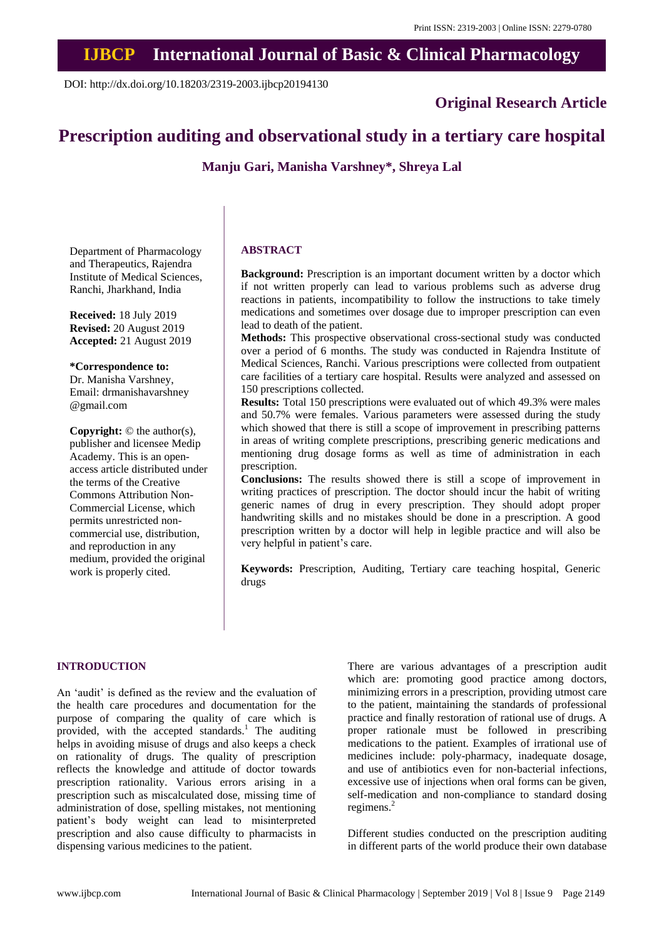# **IJBCP International Journal of Basic & Clinical Pharmacology**

DOI: http://dx.doi.org/10.18203/2319-2003.ijbcp20194130

**Original Research Article**

# **Prescription auditing and observational study in a tertiary care hospital**

**Manju Gari, Manisha Varshney\*, Shreya Lal**

Department of Pharmacology and Therapeutics, Rajendra Institute of Medical Sciences, Ranchi, Jharkhand, India

**Received:** 18 July 2019 **Revised:** 20 August 2019 **Accepted:** 21 August 2019

#### **\*Correspondence to:**

Dr. Manisha Varshney, Email: drmanishavarshney @gmail.com

**Copyright:** © the author(s), publisher and licensee Medip Academy. This is an openaccess article distributed under the terms of the Creative Commons Attribution Non-Commercial License, which permits unrestricted noncommercial use, distribution, and reproduction in any medium, provided the original work is properly cited.

#### **ABSTRACT**

**Background:** Prescription is an important document written by a doctor which if not written properly can lead to various problems such as adverse drug reactions in patients, incompatibility to follow the instructions to take timely medications and sometimes over dosage due to improper prescription can even lead to death of the patient.

**Methods:** This prospective observational cross-sectional study was conducted over a period of 6 months. The study was conducted in Rajendra Institute of Medical Sciences, Ranchi. Various prescriptions were collected from outpatient care facilities of a tertiary care hospital. Results were analyzed and assessed on 150 prescriptions collected.

**Results:** Total 150 prescriptions were evaluated out of which 49.3% were males and 50.7% were females. Various parameters were assessed during the study which showed that there is still a scope of improvement in prescribing patterns in areas of writing complete prescriptions, prescribing generic medications and mentioning drug dosage forms as well as time of administration in each prescription.

**Conclusions:** The results showed there is still a scope of improvement in writing practices of prescription. The doctor should incur the habit of writing generic names of drug in every prescription. They should adopt proper handwriting skills and no mistakes should be done in a prescription. A good prescription written by a doctor will help in legible practice and will also be very helpful in patient's care.

**Keywords:** Prescription, Auditing, Tertiary care teaching hospital, Generic drugs

## **INTRODUCTION**

An 'audit' is defined as the review and the evaluation of the health care procedures and documentation for the purpose of comparing the quality of care which is provided, with the accepted standards.<sup>1</sup> The auditing helps in avoiding misuse of drugs and also keeps a check on rationality of drugs. The quality of prescription reflects the knowledge and attitude of doctor towards prescription rationality. Various errors arising in a prescription such as miscalculated dose, missing time of administration of dose, spelling mistakes, not mentioning patient's body weight can lead to misinterpreted prescription and also cause difficulty to pharmacists in dispensing various medicines to the patient.

There are various advantages of a prescription audit which are: promoting good practice among doctors, minimizing errors in a prescription, providing utmost care to the patient, maintaining the standards of professional practice and finally restoration of rational use of drugs. A proper rationale must be followed in prescribing medications to the patient. Examples of irrational use of medicines include: poly-pharmacy, inadequate dosage, and use of antibiotics even for non-bacterial infections, excessive use of injections when oral forms can be given, self-medication and non-compliance to standard dosing regimens.<sup>2</sup>

Different studies conducted on the prescription auditing in different parts of the world produce their own database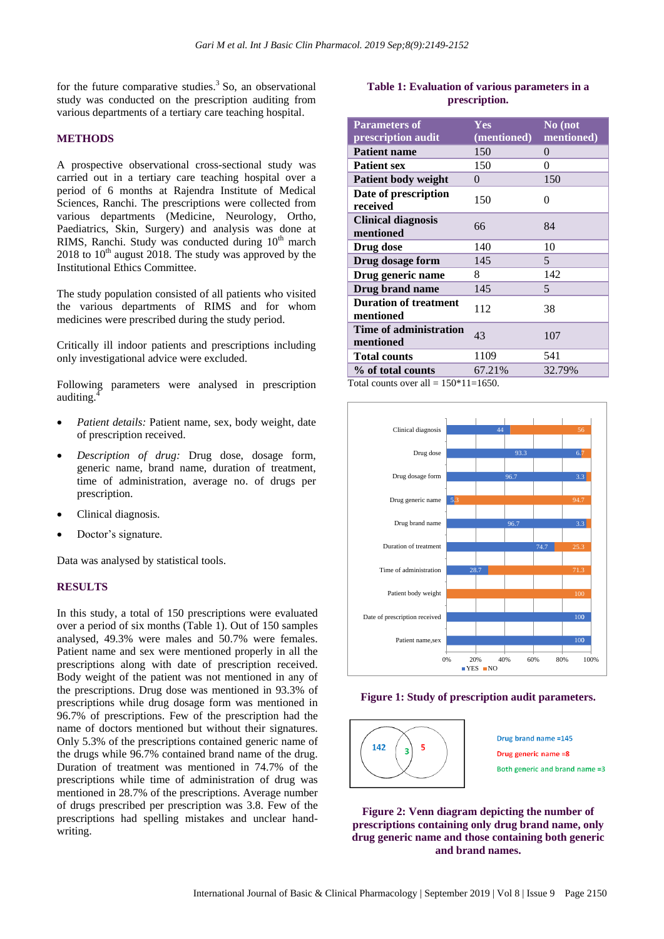for the future comparative studies.<sup>3</sup> So, an observational study was conducted on the prescription auditing from various departments of a tertiary care teaching hospital.

#### **METHODS**

A prospective observational cross-sectional study was carried out in a tertiary care teaching hospital over a period of 6 months at Rajendra Institute of Medical Sciences, Ranchi. The prescriptions were collected from various departments (Medicine, Neurology, Ortho, Paediatrics, Skin, Surgery) and analysis was done at RIMS, Ranchi. Study was conducted during  $10<sup>th</sup>$  march  $2018$  to  $10<sup>th</sup>$  august 2018. The study was approved by the Institutional Ethics Committee.

The study population consisted of all patients who visited the various departments of RIMS and for whom medicines were prescribed during the study period.

Critically ill indoor patients and prescriptions including only investigational advice were excluded.

Following parameters were analysed in prescription auditing.<sup>4</sup>

- *Patient details:* Patient name, sex, body weight, date of prescription received.
- *Description of drug:* Drug dose, dosage form, generic name, brand name, duration of treatment, time of administration, average no. of drugs per prescription.
- Clinical diagnosis.
- Doctor's signature.

Data was analysed by statistical tools.

## **RESULTS**

In this study, a total of 150 prescriptions were evaluated over a period of six months (Table 1). Out of 150 samples analysed, 49.3% were males and 50.7% were females. Patient name and sex were mentioned properly in all the prescriptions along with date of prescription received. Body weight of the patient was not mentioned in any of the prescriptions. Drug dose was mentioned in 93.3% of prescriptions while drug dosage form was mentioned in 96.7% of prescriptions. Few of the prescription had the name of doctors mentioned but without their signatures. Only 5.3% of the prescriptions contained generic name of the drugs while 96.7% contained brand name of the drug. Duration of treatment was mentioned in 74.7% of the prescriptions while time of administration of drug was mentioned in 28.7% of the prescriptions. Average number of drugs prescribed per prescription was 3.8. Few of the prescriptions had spelling mistakes and unclear handwriting.

## **Table 1: Evaluation of various parameters in a prescription.**

| <b>Parameters of</b><br>prescription audit | Yes<br>(mentioned) | No (not<br>mentioned) |
|--------------------------------------------|--------------------|-----------------------|
| <b>Patient name</b>                        | 150                | $\theta$              |
| <b>Patient sex</b>                         | 150                | 0                     |
| <b>Patient body weight</b>                 | 0                  | 150                   |
| Date of prescription<br>received           | 150                | 0                     |
| <b>Clinical diagnosis</b><br>mentioned     | 66                 | 84                    |
| Drug dose                                  | 140                | 10                    |
| Drug dosage form                           | 145                | 5                     |
| Drug generic name                          | 8                  | 142                   |
| Drug brand name                            | 145                | 5                     |
| <b>Duration of treatment</b><br>mentioned  | 112                | 38                    |
| <b>Time of administration</b><br>mentioned | 43                 | 107                   |
| <b>Total counts</b>                        | 1109               | 541                   |
| % of total counts                          | 67.21%             | 32.79%                |

Total counts over all =  $150*11=1650$ .







**Figure 2: Venn diagram depicting the number of prescriptions containing only drug brand name, only drug generic name and those containing both generic and brand names.**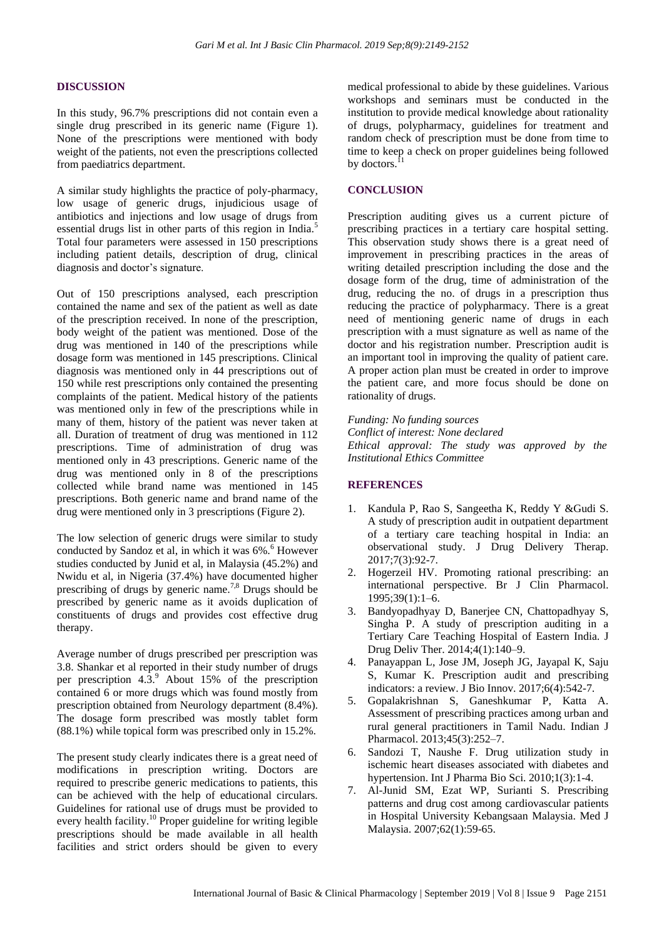#### **DISCUSSION**

In this study, 96.7% prescriptions did not contain even a single drug prescribed in its generic name (Figure 1). None of the prescriptions were mentioned with body weight of the patients, not even the prescriptions collected from paediatrics department.

A similar study highlights the practice of poly-pharmacy, low usage of generic drugs, injudicious usage of antibiotics and injections and low usage of drugs from essential drugs list in other parts of this region in India.<sup>5</sup> Total four parameters were assessed in 150 prescriptions including patient details, description of drug, clinical diagnosis and doctor's signature.

Out of 150 prescriptions analysed, each prescription contained the name and sex of the patient as well as date of the prescription received. In none of the prescription, body weight of the patient was mentioned. Dose of the drug was mentioned in 140 of the prescriptions while dosage form was mentioned in 145 prescriptions. Clinical diagnosis was mentioned only in 44 prescriptions out of 150 while rest prescriptions only contained the presenting complaints of the patient. Medical history of the patients was mentioned only in few of the prescriptions while in many of them, history of the patient was never taken at all. Duration of treatment of drug was mentioned in 112 prescriptions. Time of administration of drug was mentioned only in 43 prescriptions. Generic name of the drug was mentioned only in 8 of the prescriptions collected while brand name was mentioned in 145 prescriptions. Both generic name and brand name of the drug were mentioned only in 3 prescriptions (Figure 2).

The low selection of generic drugs were similar to study conducted by Sandoz et al, in which it was  $6\%$ .<sup>6</sup> However studies conducted by Junid et al, in Malaysia (45.2%) and Nwidu et al, in Nigeria (37.4%) have documented higher prescribing of drugs by generic name.<sup>7,8</sup> Drugs should be prescribed by generic name as it avoids duplication of constituents of drugs and provides cost effective drug therapy.

Average number of drugs prescribed per prescription was 3.8. Shankar et al reported in their study number of drugs per prescription  $4.3<sup>9</sup>$ . About 15% of the prescription contained 6 or more drugs which was found mostly from prescription obtained from Neurology department (8.4%). The dosage form prescribed was mostly tablet form (88.1%) while topical form was prescribed only in 15.2%.

The present study clearly indicates there is a great need of modifications in prescription writing. Doctors are required to prescribe generic medications to patients, this can be achieved with the help of educational circulars. Guidelines for rational use of drugs must be provided to every health facility.<sup>10</sup> Proper guideline for writing legible prescriptions should be made available in all health facilities and strict orders should be given to every

medical professional to abide by these guidelines. Various workshops and seminars must be conducted in the institution to provide medical knowledge about rationality of drugs, polypharmacy, guidelines for treatment and random check of prescription must be done from time to time to keep a check on proper guidelines being followed by doctors.<sup>11</sup>

### **CONCLUSION**

Prescription auditing gives us a current picture of prescribing practices in a tertiary care hospital setting. This observation study shows there is a great need of improvement in prescribing practices in the areas of writing detailed prescription including the dose and the dosage form of the drug, time of administration of the drug, reducing the no. of drugs in a prescription thus reducing the practice of polypharmacy. There is a great need of mentioning generic name of drugs in each prescription with a must signature as well as name of the doctor and his registration number. Prescription audit is an important tool in improving the quality of patient care. A proper action plan must be created in order to improve the patient care, and more focus should be done on rationality of drugs.

*Funding: No funding sources Conflict of interest: None declared Ethical approval: The study was approved by the Institutional Ethics Committee*

## **REFERENCES**

- 1. Kandula P, Rao S, Sangeetha K, Reddy Y &Gudi S. A study of prescription audit in outpatient department of a tertiary care teaching hospital in India: an observational study. J Drug Delivery Therap. 2017;7(3):92-7.
- 2. Hogerzeil HV. Promoting rational prescribing: an international perspective. Br J Clin Pharmacol. 1995;39(1):1–6.
- 3. Bandyopadhyay D, Banerjee CN, Chattopadhyay S, Singha P. A study of prescription auditing in a Tertiary Care Teaching Hospital of Eastern India. J Drug Deliv Ther. 2014;4(1):140–9.
- 4. Panayappan L, Jose JM, Joseph JG, Jayapal K, Saju S, Kumar K. Prescription audit and prescribing indicators: a review. J Bio Innov. 2017;6(4):542-7.
- 5. Gopalakrishnan S, Ganeshkumar P, Katta A. Assessment of prescribing practices among urban and rural general practitioners in Tamil Nadu. Indian J Pharmacol. 2013;45(3):252–7.
- 6. Sandozi T, Naushe F. Drug utilization study in ischemic heart diseases associated with diabetes and hypertension. Int J Pharma Bio Sci. 2010;1(3):1-4.
- 7. Al-Junid SM, Ezat WP, Surianti S. Prescribing patterns and drug cost among cardiovascular patients in Hospital University Kebangsaan Malaysia. Med J Malaysia. 2007;62(1):59-65.